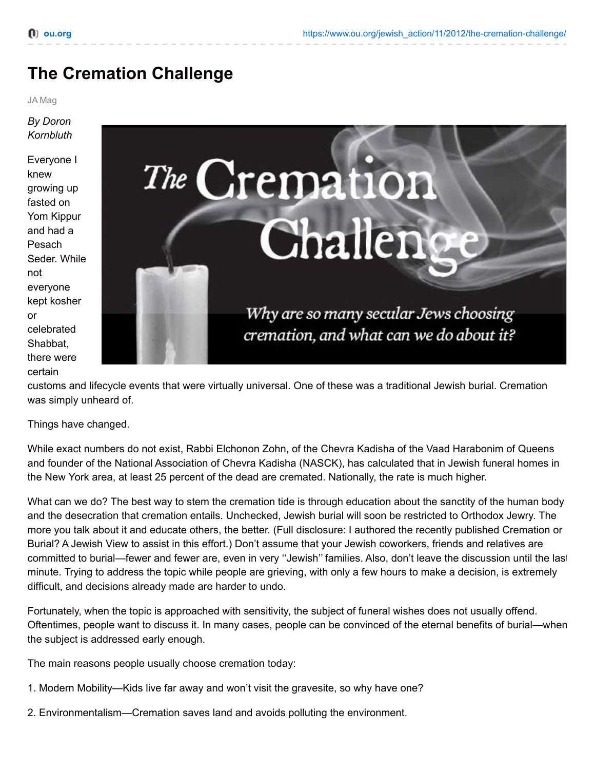# **The Cremation Challenge**

#### JA Mag

#### *By Doron Kornbluth*

Everyone I knew growing up fasted on Yom Kippur and had a Pesach Seder. While not everyone kept kosher or celebrated Shabbat, there were certain



customs and lifecycle events that were virtually universal. One of these was a traditional Jewish burial. Cremation was simply unheard of.

Things have changed.

While exact numbers do not exist, Rabbi Elchonon Zohn, of the Chevra Kadisha of the Vaad Harabonim of Queens and founder of the National Association of Chevra Kadisha (NASCK), has calculated that in Jewish funeral homes in the New York area, at least 25 percent of the dead are cremated. Nationally, the rate is much higher.

What can we do? The best way to stem the cremation tide is through education about the sanctity of the human body and the desecration that cremation entails. Unchecked, Jewish burial will soon be restricted to Orthodox Jewry. The more you talk about it and educate others, the better. (Full disclosure: I authored the recently published Cremation or Burial? A Jewish View to assist in this effort.) Don't assume that your Jewish coworkers, friends and relatives are committed to burial—fewer and fewer are, even in very ''Jewish'' families. Also, don't leave the discussion until the last minute. Trying to address the topic while people are grieving, with only a few hours to make a decision, is extremely difficult, and decisions already made are harder to undo.

Fortunately, when the topic is approached with sensitivity, the subject of funeral wishes does not usually offend. Oftentimes, people want to discuss it. In many cases, people can be convinced of the eternal benefits of burial—when the subject is addressed early enough.

The main reasons people usually choose cremation today:

- 1. Modern Mobility—Kids live far away and won't visit the gravesite, so why have one?
- 2. Environmentalism—Cremation saves land and avoids polluting the environment.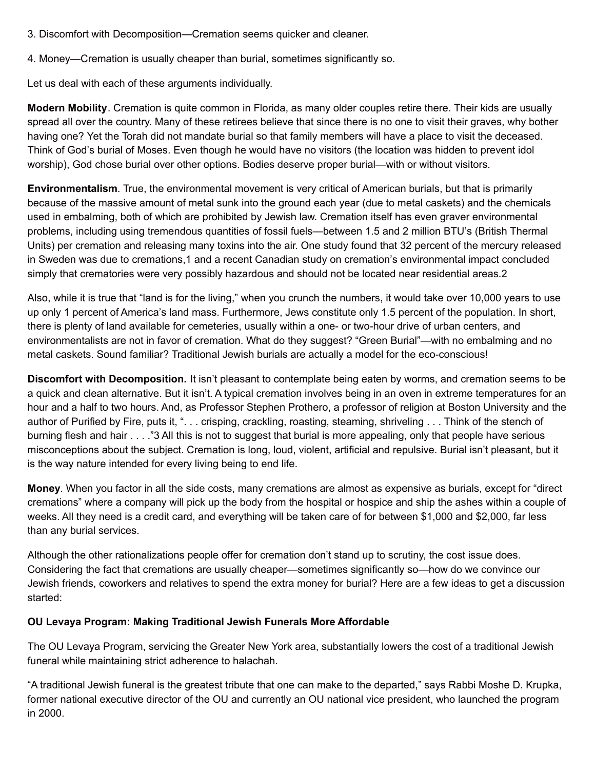- 3. Discomfort with Decomposition—Cremation seems quicker and cleaner.
- 4. Money—Cremation is usually cheaper than burial, sometimes significantly so.

Let us deal with each of these arguments individually.

**Modern Mobility**. Cremation is quite common in Florida, as many older couples retire there. Their kids are usually spread all over the country. Many of these retirees believe that since there is no one to visit their graves, why bother having one? Yet the Torah did not mandate burial so that family members will have a place to visit the deceased. Think of God's burial of Moses. Even though he would have no visitors (the location was hidden to prevent idol worship), God chose burial over other options. Bodies deserve proper burial—with or without visitors.

**Environmentalism**. True, the environmental movement is very critical of American burials, but that is primarily because of the massive amount of metal sunk into the ground each year (due to metal caskets) and the chemicals used in embalming, both of which are prohibited by Jewish law. Cremation itself has even graver environmental problems, including using tremendous quantities of fossil fuels—between 1.5 and 2 million BTU's (British Thermal Units) per cremation and releasing many toxins into the air. One study found that 32 percent of the mercury released in Sweden was due to cremations,1 and a recent Canadian study on cremation's environmental impact concluded simply that crematories were very possibly hazardous and should not be located near residential areas.2

Also, while it is true that "land is for the living," when you crunch the numbers, it would take over 10,000 years to use up only 1 percent of America's land mass. Furthermore, Jews constitute only 1.5 percent of the population. In short, there is plenty of land available for cemeteries, usually within a one- or two-hour drive of urban centers, and environmentalists are not in favor of cremation. What do they suggest? "Green Burial"—with no embalming and no metal caskets. Sound familiar? Traditional Jewish burials are actually a model for the eco-conscious!

**Discomfort with Decomposition.** It isn't pleasant to contemplate being eaten by worms, and cremation seems to be a quick and clean alternative. But it isn't. A typical cremation involves being in an oven in extreme temperatures for an hour and a half to two hours. And, as Professor Stephen Prothero, a professor of religion at Boston University and the author of Purified by Fire, puts it, "... crisping, crackling, roasting, steaming, shriveling ... Think of the stench of burning flesh and hair . . . ."3 All this is not to suggest that burial is more appealing, only that people have serious misconceptions about the subject. Cremation is long, loud, violent, artificial and repulsive. Burial isn't pleasant, but it is the way nature intended for every living being to end life.

**Money**. When you factor in all the side costs, many cremations are almost as expensive as burials, except for "direct cremations" where a company will pick up the body from the hospital or hospice and ship the ashes within a couple of weeks. All they need is a credit card, and everything will be taken care of for between \$1,000 and \$2,000, far less than any burial services.

Although the other rationalizations people offer for cremation don't stand up to scrutiny, the cost issue does. Considering the fact that cremations are usually cheaper—sometimes significantly so—how do we convince our Jewish friends, coworkers and relatives to spend the extra money for burial? Here are a few ideas to get a discussion started:

#### **OU Levaya Program: Making Traditional Jewish Funerals More Affordable**

The OU Levaya Program, servicing the Greater New York area, substantially lowers the cost of a traditional Jewish funeral while maintaining strict adherence to halachah.

"A traditional Jewish funeral is the greatest tribute that one can make to the departed," says Rabbi Moshe D. Krupka, former national executive director of the OU and currently an OU national vice president, who launched the program in 2000.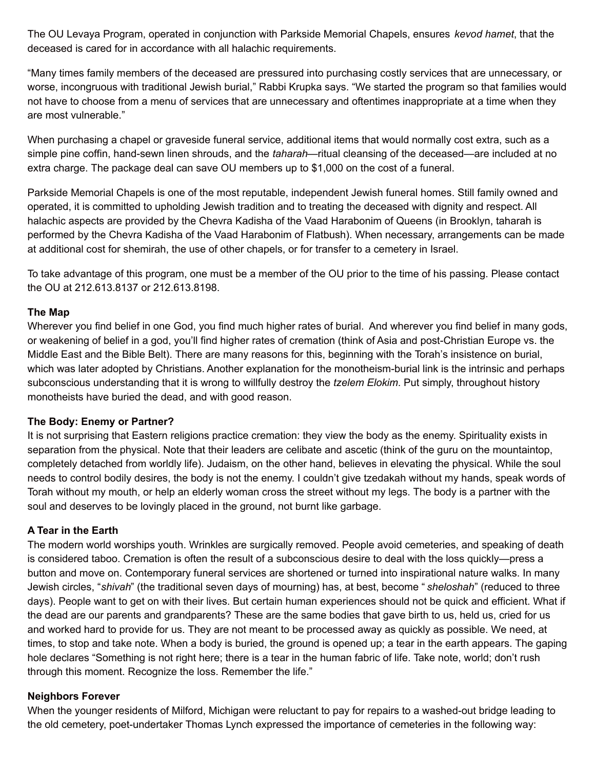The OU Levaya Program, operated in conjunction with Parkside Memorial Chapels, ensures *kevod hamet*, that the deceased is cared for in accordance with all halachic requirements.

"Many times family members of the deceased are pressured into purchasing costly services that are unnecessary, or worse, incongruous with traditional Jewish burial," Rabbi Krupka says. "We started the program so that families would not have to choose from a menu of services that are unnecessary and oftentimes inappropriate at a time when they are most vulnerable."

When purchasing a chapel or graveside funeral service, additional items that would normally cost extra, such as a simple pine coffin, hand-sewn linen shrouds, and the *taharah*—ritual cleansing of the deceased—are included at no extra charge. The package deal can save OU members up to \$1,000 on the cost of a funeral.

Parkside Memorial Chapels is one of the most reputable, independent Jewish funeral homes. Still family owned and operated, it is committed to upholding Jewish tradition and to treating the deceased with dignity and respect. All halachic aspects are provided by the Chevra Kadisha of the Vaad Harabonim of Queens (in Brooklyn, taharah is performed by the Chevra Kadisha of the Vaad Harabonim of Flatbush). When necessary, arrangements can be made at additional cost for shemirah, the use of other chapels, or for transfer to a cemetery in Israel.

To take advantage of this program, one must be a member of the OU prior to the time of his passing. Please contact the OU at 212.613.8137 or 212.613.8198.

#### **The Map**

Wherever you find belief in one God, you find much higher rates of burial. And wherever you find belief in many gods, or weakening of belief in a god, you'll find higher rates of cremation (think of Asia and post-Christian Europe vs. the Middle East and the Bible Belt). There are many reasons for this, beginning with the Torah's insistence on burial, which was later adopted by Christians. Another explanation for the monotheism-burial link is the intrinsic and perhaps subconscious understanding that it is wrong to willfully destroy the *tzelem Elokim*. Put simply, throughout history monotheists have buried the dead, and with good reason.

#### **The Body: Enemy or Partner?**

It is not surprising that Eastern religions practice cremation: they view the body as the enemy. Spirituality exists in separation from the physical. Note that their leaders are celibate and ascetic (think of the guru on the mountaintop, completely detached from worldly life). Judaism, on the other hand, believes in elevating the physical. While the soul needs to control bodily desires, the body is not the enemy. I couldn't give tzedakah without my hands, speak words of Torah without my mouth, or help an elderly woman cross the street without my legs. The body is a partner with the soul and deserves to be lovingly placed in the ground, not burnt like garbage.

#### **A Tear in the Earth**

The modern world worships youth. Wrinkles are surgically removed. People avoid cemeteries, and speaking of death is considered taboo. Cremation is often the result of a subconscious desire to deal with the loss quickly—press a button and move on. Contemporary funeral services are shortened or turned into inspirational nature walks. In many Jewish circles, "*shivah*" (the traditional seven days of mourning) has, at best, become " *sheloshah*" (reduced to three days). People want to get on with their lives. But certain human experiences should not be quick and efficient. What if the dead are our parents and grandparents? These are the same bodies that gave birth to us, held us, cried for us and worked hard to provide for us. They are not meant to be processed away as quickly as possible. We need, at times, to stop and take note. When a body is buried, the ground is opened up; a tear in the earth appears. The gaping hole declares "Something is not right here; there is a tear in the human fabric of life. Take note, world; don't rush through this moment. Recognize the loss. Remember the life."

#### **Neighbors Forever**

When the younger residents of Milford, Michigan were reluctant to pay for repairs to a washed-out bridge leading to the old cemetery, poet-undertaker Thomas Lynch expressed the importance of cemeteries in the following way: